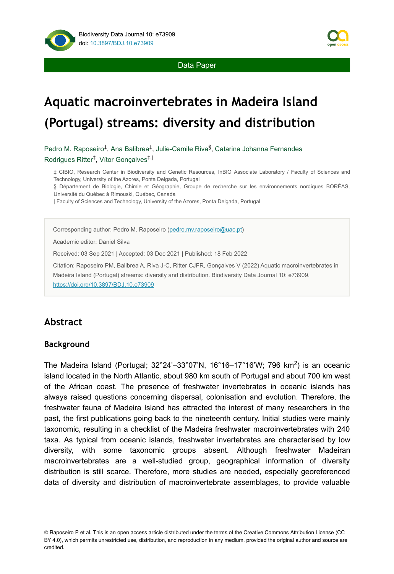Data Paper

# **Aquatic macroinvertebrates in Madeira Island (Portugal) streams: diversity and distribution**

Pedro M. Raposeiro<sup>‡</sup>, Ana Balibrea<sup>‡</sup>, Julie-Camile Riva<sup>§</sup>, Catarina Johanna Fernandes Rodrigues Ritter<sup>‡</sup>, Vítor Gonçalves<sup>‡,|</sup>

‡ CIBIO, Research Center in Biodiversity and Genetic Resources, InBIO Associate Laboratory / Faculty of Sciences and Technology, University of the Azores, Ponta Delgada, Portugal

§ Département de Biologie, Chimie et Géographie, Groupe de recherche sur les environnements nordiques BORÉAS, Université du Québec à Rimouski, Québec, Canada

| Faculty of Sciences and Technology, University of the Azores, Ponta Delgada, Portugal

Corresponding author: Pedro M. Raposeiro ([pedro.mv.raposeiro@uac.pt](mailto:pedro.mv.raposeiro@uac.pt))

Academic editor: Daniel Silva

Received: 03 Sep 2021 | Accepted: 03 Dec 2021 | Published: 18 Feb 2022

Citation: Raposeiro PM, Balibrea A, Riva J-C, Ritter CJFR, Gonçalves V (2022) Aquatic macroinvertebrates in Madeira Island (Portugal) streams: diversity and distribution. Biodiversity Data Journal 10: e73909. <https://doi.org/10.3897/BDJ.10.e73909>

# **Abstract**

#### **Background**

The Madeira Island (Portugal; 32°24'-33°07'N, 16°16-17°16'W; 796 km<sup>2</sup>) is an oceanic island located in the North Atlantic, about 980 km south of Portugal and about 700 km west of the African coast. The presence of freshwater invertebrates in oceanic islands has always raised questions concerning dispersal, colonisation and evolution. Therefore, the freshwater fauna of Madeira Island has attracted the interest of many researchers in the past, the first publications going back to the nineteenth century. Initial studies were mainly taxonomic, resulting in a checklist of the Madeira freshwater macroinvertebrates with 240 taxa. As typical from oceanic islands, freshwater invertebrates are characterised by low diversity, with some taxonomic groups absent. Although freshwater Madeiran macroinvertebrates are a well-studied group, geographical information of diversity distribution is still scarce. Therefore, more studies are needed, especially georeferenced data of diversity and distribution of macroinvertebrate assemblages, to provide valuable



<sup>©</sup> Raposeiro P et al. This is an open access article distributed under the terms of the Creative Commons Attribution License (CC BY 4.0), which permits unrestricted use, distribution, and reproduction in any medium, provided the original author and source are credited.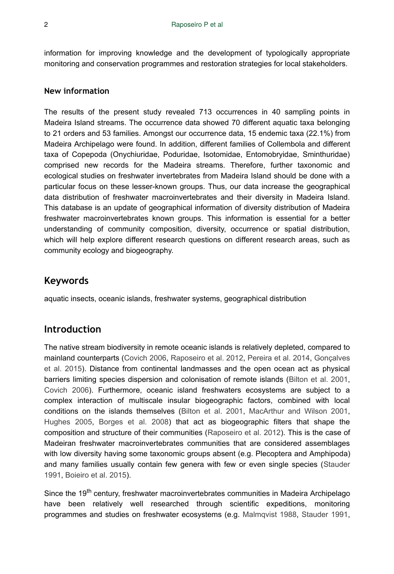information for improving knowledge and the development of typologically appropriate monitoring and conservation programmes and restoration strategies for local stakeholders.

#### **New information**

The results of the present study revealed 713 occurrences in 40 sampling points in Madeira Island streams. The occurrence data showed 70 different aquatic taxa belonging to 21 orders and 53 families. Amongst our occurrence data, 15 endemic taxa (22.1%) from Madeira Archipelago were found. In addition, different families of Collembola and different taxa of Copepoda (Onychiuridae, Poduridae, Isotomidae, Entomobryidae, Sminthuridae) comprised new records for the Madeira streams. Therefore, further taxonomic and ecological studies on freshwater invertebrates from Madeira Island should be done with a particular focus on these lesser-known groups. Thus, our data increase the geographical data distribution of freshwater macroinvertebrates and their diversity in Madeira Island. This database is an update of geographical information of diversity distribution of Madeira freshwater macroinvertebrates known groups. This information is essential for a better understanding of community composition, diversity, occurrence or spatial distribution, which will help explore different research questions on different research areas, such as community ecology and biogeography.

#### **Keywords**

aquatic insects, oceanic islands, freshwater systems, geographical distribution

## **Introduction**

The native stream biodiversity in remote oceanic islands is relatively depleted, compared to mainland counterparts [\(Covich 2006](#page-19-0), [Raposeiro et al. 2012,](#page-22-0) [Pereira et al. 2014,](#page-21-0) [Gonçalves](#page-19-1) [et al. 2015](#page-19-1)). Distance from continental landmasses and the open ocean act as physical barriers limiting species dispersion and colonisation of remote islands ([Bilton et al. 2001,](#page-18-0) [Covich 2006](#page-19-0)). Furthermore, oceanic island freshwaters ecosystems are subject to a complex interaction of multiscale insular biogeographic factors, combined with local conditions on the islands themselves ([Bilton et al. 2001](#page-18-0), [MacArthur and Wilson 2001,](#page-21-1) [Hughes 2005](#page-20-0), [Borges et al. 2008](#page-18-1)) that act as biogeographic filters that shape the composition and structure of their communities [\(Raposeiro et al. 2012](#page-22-0)). This is the case of Madeiran freshwater macroinvertebrates communities that are considered assemblages with low diversity having some taxonomic groups absent (e.g. Plecoptera and Amphipoda) and many families usually contain few genera with few or even single species ([Stauder](#page-22-1) [1991](#page-22-1), [Boieiro et al. 2015](#page-18-2)).

Since the 19<sup>th</sup> century, freshwater macroinvertebrates communities in Madeira Archipelago have been relatively well researched through scientific expeditions, monitoring programmes and studies on freshwater ecosystems (e.g. [Malmqvist 1988,](#page-21-2) [Stauder 1991,](#page-22-1)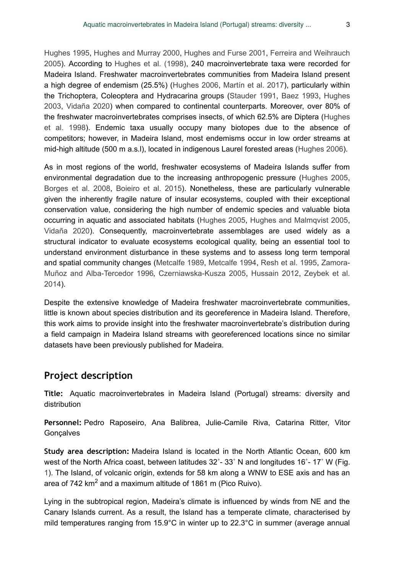[Hughes 1995](#page-20-1), [Hughes and Murray 2000](#page-20-2), [Hughes and Furse 2001](#page-20-3), [Ferreira and Weihrauch](#page-19-2) [2005](#page-19-2)). According to [Hughes et al. \(1998\),](#page-20-4) 240 macroinvertebrate taxa were recorded for Madeira Island. Freshwater macroinvertebrates communities from Madeira Island present a high degree of endemism (25.5%) ([Hughes 2006](#page-20-5), [Martín et al. 2017\)](#page-21-3), particularly within the Trichoptera, Coleoptera and Hydracarina groups ([Stauder 1991,](#page-22-1) [Baez 1993](#page-18-3), [Hughes](#page-20-6) [2003](#page-20-6), [Vidaña 2020](#page-22-2)) when compared to continental counterparts. Moreover, over 80% of the freshwater macroinvertebrates comprises insects, of which 62.5% are Diptera [\(Hughes](#page-20-4) [et al. 1998\)](#page-20-4). Endemic taxa usually occupy many biotopes due to the absence of competitors; however, in Madeira Island, most endemisms occur in low order streams at mid-high altitude (500 m a.s.l), located in indigenous Laurel forested areas ([Hughes 2006](#page-20-5)).

As in most regions of the world, freshwater ecosystems of Madeira Islands suffer from environmental degradation due to the increasing anthropogenic pressure ([Hughes 2005,](#page-20-0) [Borges et al. 2008,](#page-18-1) [Boieiro et al. 2015\)](#page-18-2). Nonetheless, these are particularly vulnerable given the inherently fragile nature of insular ecosystems, coupled with their exceptional conservation value, considering the high number of endemic species and valuable biota occurring in aquatic and associated habitats ([Hughes 2005](#page-20-0), [Hughes and Malmqvist 2005,](#page-20-7) [Vidaña 2020](#page-22-2)). Consequently, macroinvertebrate assemblages are used widely as a structural indicator to evaluate ecosystems ecological quality, being an essential tool to understand environment disturbance in these systems and to assess long term temporal and spatial community changes [\(Metcalfe 1989](#page-21-4), [Metcalfe 1994](#page-21-5), [Resh et al. 1995,](#page-22-3) [Zamora-](#page-22-4)[Muñoz and Alba-Tercedor 1996,](#page-22-4) [Czerniawska-Kusza 2005,](#page-19-3) [Hussain 2012,](#page-20-8) [Zeybek et al.](#page-22-5) [2014](#page-22-5)).

Despite the extensive knowledge of Madeira freshwater macroinvertebrate communities, little is known about species distribution and its georeference in Madeira Island. Therefore, this work aims to provide insight into the freshwater macroinvertebrate's distribution during a field campaign in Madeira Island streams with georeferenced locations since no similar datasets have been previously published for Madeira.

## **Project description**

**Title:** Aquatic macroinvertebrates in Madeira Island (Portugal) streams: diversity and distribution

**Personnel:** Pedro Raposeiro, Ana Balibrea, Julie-Camile Riva, Catarina Ritter, Vitor **Gonçalves** 

**Study area description:** Madeira Island is located in the North Atlantic Ocean, 600 km west of the North Africa coast, between latitudes 32°- 33° N and longitudes 16°- 17° W (Fig. [1](#page-3-0)). The Island, of volcanic origin, extends for 58 km along a WNW to ESE axis and has an area of 742 km<sup>2</sup> and a maximum altitude of 1861 m (Pico Ruivo).

Lying in the subtropical region, Madeira's climate is influenced by winds from NE and the Canary Islands current. As a result, the Island has a temperate climate, characterised by mild temperatures ranging from 15.9°C in winter up to 22.3°C in summer (average annual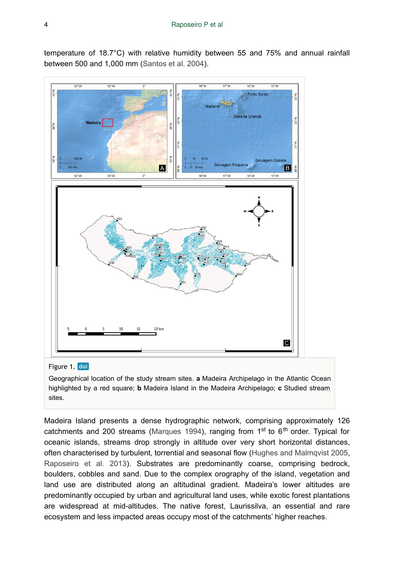temperature of 18.7°C) with relative humidity between 55 and 75% and annual rainfall between 500 and 1,000 mm ([Santos et al. 2004](#page-22-6)).

<span id="page-3-0"></span>

#### Figure 1. doi

Geographical location of the study stream sites. **a** Madeira Archipelago in the Atlantic Ocean highlighted by a red square; **b** Madeira Island in the Madeira Archipelago; **c** Studied stream sites.

Madeira Island presents a dense hydrographic network, comprising approximately 126 catchments and 200 streams ([Marques 1994](#page-21-6)), ranging from 1<sup>st</sup> to 6<sup>th</sup> order. Typical for oceanic islands, streams drop strongly in altitude over very short horizontal distances, often characterised by turbulent, torrential and seasonal flow ([Hughes and Malmqvist 2005,](#page-20-7) [Raposeiro et al. 2013](#page-22-7)). Substrates are predominantly coarse, comprising bedrock, boulders, cobbles and sand. Due to the complex orography of the island, vegetation and land use are distributed along an altitudinal gradient. Madeira's lower altitudes are predominantly occupied by urban and agricultural land uses, while exotic forest plantations are widespread at mid-altitudes. The native forest, Laurissilva, an essential and rare ecosystem and less impacted areas occupy most of the catchments' higher reaches.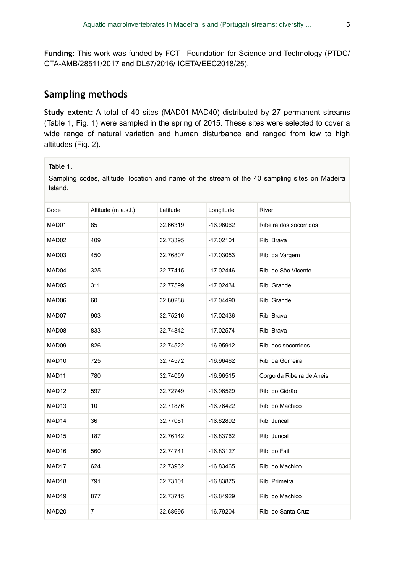**Funding:** This work was funded by FCT– Foundation for Science and Technology (PTDC/ CTA-AMB/28511/2017 and DL57/2016/ ICETA/EEC2018/25).

## **Sampling methods**

**Study extent:** A total of 40 sites (MAD01-MAD40) distributed by 27 permanent streams (Table [1,](#page-4-0) Fig. [1](#page-3-0)) were sampled in the spring of 2015. These sites were selected to cover a wide range of natural variation and human disturbance and ranged from low to high altitudes (Fig. [2\)](#page-6-0).

<span id="page-4-0"></span>Table 1.

Sampling codes, altitude, location and name of the stream of the 40 sampling sites on Madeira Island.

| Code              | Altitude (m a.s.l.) | Latitude | Longitude   | River                     |
|-------------------|---------------------|----------|-------------|---------------------------|
| MAD01             | 85                  | 32.66319 | -16.96062   | Ribeira dos socorridos    |
| MAD <sub>02</sub> | 409                 | 32.73395 | -17.02101   | Rib. Brava                |
| MAD03             | 450                 | 32.76807 | -17.03053   | Rib. da Vargem            |
| MAD04             | 325                 | 32.77415 | $-17.02446$ | Rib. de São Vicente       |
| MAD05             | 311                 | 32.77599 | -17.02434   | Rib. Grande               |
| MAD06             | 60                  | 32.80288 | -17.04490   | Rib. Grande               |
| MAD07             | 903                 | 32.75216 | -17.02436   | Rib. Brava                |
| MAD08             | 833                 | 32.74842 | -17.02574   | Rib. Brava                |
| MAD09             | 826                 | 32.74522 | $-16.95912$ | Rib. dos socorridos       |
| MAD10             | 725                 | 32.74572 | -16.96462   | Rib. da Gomeira           |
| MAD <sub>11</sub> | 780                 | 32.74059 | -16.96515   | Corgo da Ribeira de Aneis |
| MAD <sub>12</sub> | 597                 | 32.72749 | -16.96529   | Rib. do Cidrão            |
| MAD <sub>13</sub> | 10                  | 32.71876 | $-16.76422$ | Rib. do Machico           |
| MAD <sub>14</sub> | 36                  | 32.77081 | -16.82892   | Rib. Juncal               |
| MAD <sub>15</sub> | 187                 | 32.76142 | -16.83762   | Rib. Juncal               |
| MAD <sub>16</sub> | 560                 | 32.74741 | -16.83127   | Rib. do Fail              |
| MAD17             | 624                 | 32.73962 | $-16.83465$ | Rib. do Machico           |
| MAD <sub>18</sub> | 791                 | 32.73101 | $-16.83875$ | Rib. Primeira             |
| MAD19             | 877                 | 32.73715 | $-16.84929$ | Rib. do Machico           |
| MAD <sub>20</sub> | $\overline{7}$      | 32.68695 | $-16.79204$ | Rib. de Santa Cruz        |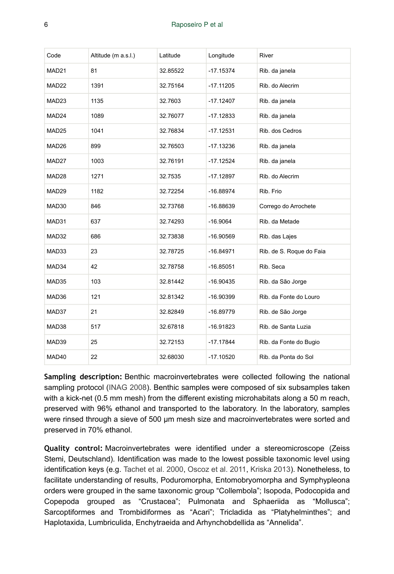| Code              | Altitude (m a.s.l.) | Latitude | Longitude   | River                    |
|-------------------|---------------------|----------|-------------|--------------------------|
| MAD <sub>21</sub> | 81                  | 32.85522 | $-17.15374$ | Rib. da janela           |
| MAD <sub>22</sub> | 1391                | 32.75164 | -17.11205   | Rib. do Alecrim          |
| MAD <sub>23</sub> | 1135                | 32.7603  | $-17.12407$ | Rib. da janela           |
| MAD <sub>24</sub> | 1089                | 32.76077 | $-17.12833$ | Rib. da janela           |
| MAD <sub>25</sub> | 1041                | 32.76834 | $-17.12531$ | Rib. dos Cedros          |
| MAD26             | 899                 | 32.76503 | -17.13236   | Rib. da janela           |
| MAD <sub>27</sub> | 1003                | 32.76191 | -17.12524   | Rib. da janela           |
| MAD <sub>28</sub> | 1271                | 32.7535  | $-17.12897$ | Rib. do Alecrim          |
| MAD29             | 1182                | 32.72254 | $-16.88974$ | Rib. Frio                |
| MAD <sub>30</sub> | 846                 | 32.73768 | $-16.88639$ | Corrego do Arrochete     |
| MAD31             | 637                 | 32.74293 | $-16.9064$  | Rib. da Metade           |
| MAD32             | 686                 | 32.73838 | $-16.90569$ | Rib. das Lajes           |
| MAD33             | 23                  | 32.78725 | $-16.84971$ | Rib. de S. Roque do Faia |
| MAD34             | 42                  | 32.78758 | $-16.85051$ | Rib. Seca                |
| MAD35             | 103                 | 32.81442 | $-16.90435$ | Rib. da São Jorge        |
| MAD36             | 121                 | 32.81342 | $-16.90399$ | Rib. da Fonte do Louro   |
| MAD37             | 21                  | 32.82849 | $-16.89779$ | Rib. de São Jorge        |
| MAD38             | 517                 | 32.67818 | $-16.91823$ | Rib. de Santa Luzia      |
| MAD39             | 25                  | 32.72153 | $-17.17844$ | Rib. da Fonte do Bugio   |
| MAD40             | 22                  | 32.68030 | $-17.10520$ | Rib. da Ponta do Sol     |

**Sampling description:** Benthic macroinvertebrates were collected following the national sampling protocol [\(INAG 2008](#page-20-9)). Benthic samples were composed of six subsamples taken with a kick-net (0.5 mm mesh) from the different existing microhabitats along a 50 m reach, preserved with 96% ethanol and transported to the laboratory. In the laboratory, samples were rinsed through a sieve of 500 μm mesh size and macroinvertebrates were sorted and preserved in 70% ethanol.

**Quality control:** Macroinvertebrates were identified under a stereomicroscope (Zeiss Stemi, Deutschland). Identification was made to the lowest possible taxonomic level using identification keys (e.g. [Tachet et al. 2000,](#page-22-8) [Oscoz et al. 2011](#page-21-7), [Kriska 2013\)](#page-20-10). Nonetheless, to facilitate understanding of results, Poduromorpha, Entomobryomorpha and Symphypleona orders were grouped in the same taxonomic group "Collembola"; Isopoda, Podocopida and Copepoda grouped as "Crustacea"; Pulmonata and Sphaeriida as "Mollusca"; Sarcoptiformes and Trombidiformes as "Acari"; Tricladida as "Platyhelminthes"; and Haplotaxida, Lumbriculida, Enchytraeida and Arhynchobdellida as "Annelida".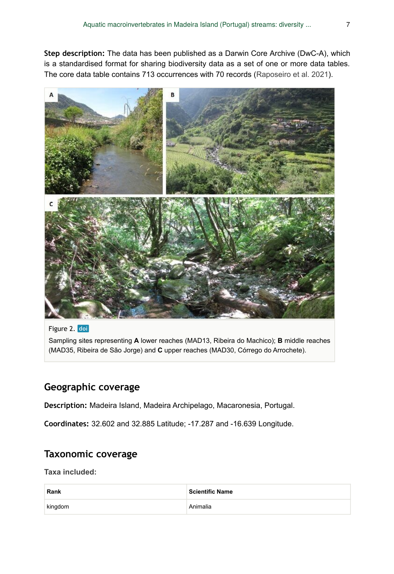**Step description:** The data has been published as a Darwin Core Archive (DwC-A), which is a standardised format for sharing biodiversity data as a set of one or more data tables. The core data table contains 713 occurrences with 70 records ([Raposeiro et al. 2021\)](#page-22-9).

<span id="page-6-0"></span>

Figure 2. doi

Sampling sites representing **A** lower reaches (MAD13, Ribeira do Machico); **B** middle reaches (MAD35, Ribeira de São Jorge) and **C** upper reaches (MAD30, Córrego do Arrochete).

# **Geographic coverage**

**Description:** Madeira Island, Madeira Archipelago, Macaronesia, Portugal.

**Coordinates:** 32.602 and 32.885 Latitude; -17.287 and -16.639 Longitude.

## **Taxonomic coverage**

**Taxa included:**

| Rank    | Scientific Name |
|---------|-----------------|
| kingdom | Animalia        |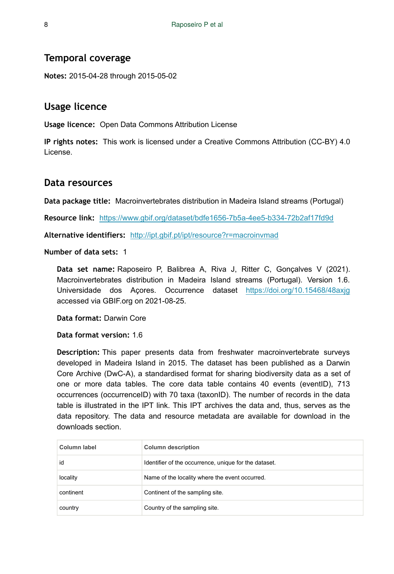## **Temporal coverage**

**Notes:** 2015-04-28 through 2015-05-02

### **Usage licence**

**Usage licence:** Open Data Commons Attribution License

**IP rights notes:** This work is licensed under a Creative Commons Attribution (CC-BY) 4.0 License.

#### **Data resources**

**Data package title:** Macroinvertebrates distribution in Madeira Island streams (Portugal)

**Resource link:** <https://www.gbif.org/dataset/bdfe1656-7b5a-4ee5-b334-72b2af17fd9d>

**Alternative identifiers:** <http://ipt.gbif.pt/ipt/resource?r=macroinvmad>

**Number of data sets:** 1

**Data set name:** Raposeiro P, Balibrea A, Riva J, Ritter C, Gonçalves V (2021). Macroinvertebrates distribution in Madeira Island streams (Portugal). Version 1.6. Universidade dos Açores. Occurrence dataset <https://doi.org/10.15468/48axjg> accessed via GBIF.org on 2021-08-25.

**Data format:** Darwin Core

**Data format version:** 1.6

**Description:** This paper presents data from freshwater macroinvertebrate surveys developed in Madeira Island in 2015. The dataset has been published as a Darwin Core Archive (DwC-A), a standardised format for sharing biodiversity data as a set of one or more data tables. The core data table contains 40 events (eventID), 713 occurrences (occurrenceID) with 70 taxa (taxonID). The number of records in the data table is illustrated in the IPT link. This IPT archives the data and, thus, serves as the data repository. The data and resource metadata are available for download in the downloads section.

| Column label | <b>Column description</b>                             |
|--------------|-------------------------------------------------------|
| id           | Identifier of the occurrence, unique for the dataset. |
| locality     | Name of the locality where the event occurred.        |
| continent    | Continent of the sampling site.                       |
| country      | Country of the sampling site.                         |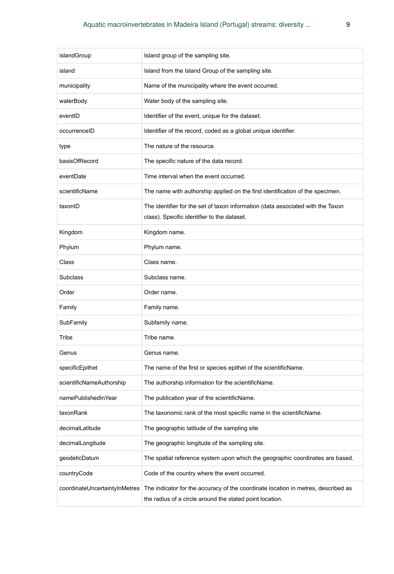| islandGroup                   | Island group of the sampling site.                                                                                                            |
|-------------------------------|-----------------------------------------------------------------------------------------------------------------------------------------------|
| island                        | Island from the Island Group of the sampling site.                                                                                            |
| municipality                  | Name of the municipality where the event occurred.                                                                                            |
| waterBody                     | Water body of the sampling site.                                                                                                              |
| eventID                       | Identifier of the event, unique for the dataset.                                                                                              |
| occurrenceID                  | Identifier of the record, coded as a global unique identifier.                                                                                |
| type                          | The nature of the resource.                                                                                                                   |
| basisOfRecord                 | The specific nature of the data record.                                                                                                       |
| eventDate                     | Time interval when the event occurred.                                                                                                        |
| scientificName                | The name with authorship applied on the first identification of the specimen.                                                                 |
| taxonID                       | The identifier for the set of taxon information (data associated with the Taxon<br>class). Specific identifier to the dataset.                |
| Kingdom                       | Kingdom name.                                                                                                                                 |
| Phylum                        | Phylum name.                                                                                                                                  |
| Class                         | Class name.                                                                                                                                   |
| <b>Subclass</b>               | Subclass name.                                                                                                                                |
| Order                         | Order name.                                                                                                                                   |
| Family                        | Family name.                                                                                                                                  |
| SubFamily                     | Subfamily name.                                                                                                                               |
| Tribe                         | Tribe name.                                                                                                                                   |
| Genus                         | Genus name.                                                                                                                                   |
| specificEpithet               | The name of the first or species epithet of the scientificName.                                                                               |
| scientificNameAuthorship      | The authorship information for the scientificName.                                                                                            |
| namePublishedInYear           | The publication year of the scientificName.                                                                                                   |
| taxonRank                     | The taxonomic rank of the most specific name in the scientificName.                                                                           |
| decimalLatitude               | The geographic latitude of the sampling site                                                                                                  |
| decimalLongitude              | The geographic longitude of the sampling site.                                                                                                |
| geodeticDatum                 | The spatial reference system upon which the geographic coordinates are based.                                                                 |
| countryCode                   | Code of the country where the event occurred.                                                                                                 |
| coordinateUncertaintyInMetres | The indicator for the accuracy of the coordinate location in metres, described as<br>the radius of a circle around the stated point location. |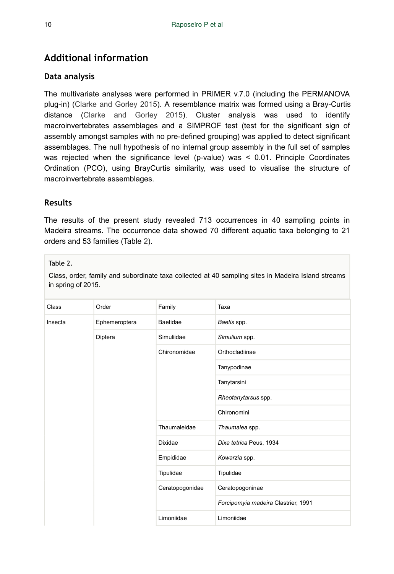# **Additional information**

#### **Data analysis**

The multivariate analyses were performed in PRIMER v.7.0 (including the PERMANOVA plug-in) ([Clarke and Gorley 2015](#page-18-4)). A resemblance matrix was formed using a Bray-Curtis distance [\(Clarke and Gorley 2015\)](#page-18-4). Cluster analysis was used to identify macroinvertebrates assemblages and a SIMPROF test (test for the significant sign of assembly amongst samples with no pre-defined grouping) was applied to detect significant assemblages. The null hypothesis of no internal group assembly in the full set of samples was rejected when the significance level (p-value) was < 0.01. Principle Coordinates Ordination (PCO), using BrayCurtis similarity, was used to visualise the structure of macroinvertebrate assemblages.

#### **Results**

The results of the present study revealed 713 occurrences in 40 sampling points in Madeira streams. The occurrence data showed 70 different aquatic taxa belonging to 21 orders and 53 families (Table [2\)](#page-9-0).

<span id="page-9-0"></span>Table 2.

Class, order, family and subordinate taxa collected at 40 sampling sites in Madeira Island streams in spring of 2015.

| Class   | Order         | Family          | Taxa                                |
|---------|---------------|-----------------|-------------------------------------|
| Insecta | Ephemeroptera | Baetidae        | Baetis spp.                         |
|         | Diptera       | Simuliidae      | Simulium spp.                       |
|         |               | Chironomidae    | Orthocladiinae                      |
|         |               |                 | Tanypodinae                         |
|         |               |                 | Tanytarsini                         |
|         |               |                 | Rheotanytarsus spp.                 |
|         |               |                 | Chironomini                         |
|         |               | Thaumaleidae    | Thaumalea spp.                      |
|         |               | Dixidae         | Dixa tetrica Peus, 1934             |
|         |               | Empididae       | Kowarzia spp.                       |
|         |               | Tipulidae       | Tipulidae                           |
|         |               | Ceratopogonidae | Ceratopogoninae                     |
|         |               |                 | Forcipomyia madeira Clastrier, 1991 |
|         |               | Limoniidae      | Limoniidae                          |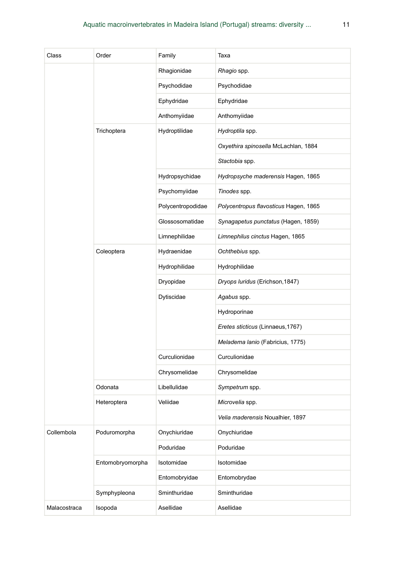| Class        | Order            | Family            | Taxa                                  |  |
|--------------|------------------|-------------------|---------------------------------------|--|
|              |                  | Rhagionidae       | Rhagio spp.                           |  |
|              |                  | Psychodidae       | Psychodidae                           |  |
|              |                  | Ephydridae        | Ephydridae                            |  |
|              |                  | Anthomyiidae      | Anthomyiidae                          |  |
|              | Trichoptera      | Hydroptilidae     | Hydroptila spp.                       |  |
|              |                  |                   | Oxyethira spinosella McLachlan, 1884  |  |
|              |                  |                   | Stactobia spp.                        |  |
|              |                  | Hydropsychidae    | Hydropsyche maderensis Hagen, 1865    |  |
|              |                  | Psychomyiidae     | Tinodes spp.                          |  |
|              |                  | Polycentropodidae | Polycentropus flavosticus Hagen, 1865 |  |
|              |                  | Glossosomatidae   | Synagapetus punctatus (Hagen, 1859)   |  |
|              |                  | Limnephilidae     | Limnephilus cinctus Hagen, 1865       |  |
|              | Coleoptera       | Hydraenidae       | Ochthebius spp.                       |  |
|              |                  | Hydrophilidae     | Hydrophilidae                         |  |
|              |                  | Dryopidae         | Dryops luridus (Erichson, 1847)       |  |
|              |                  | Dytiscidae        | Agabus spp.                           |  |
|              |                  |                   | Hydroporinae                          |  |
|              |                  |                   | Eretes sticticus (Linnaeus, 1767)     |  |
|              |                  |                   | Meladema lanio (Fabricius, 1775)      |  |
|              |                  | Curculionidae     | Curculionidae                         |  |
|              |                  | Chrysomelidae     | Chrysomelidae                         |  |
|              | Odonata          | Libellulidae      | Sympetrum spp.                        |  |
|              | Heteroptera      | Veliidae          | Microvelia spp.                       |  |
|              |                  |                   | Velia maderensis Noualhier, 1897      |  |
| Collembola   | Poduromorpha     | Onychiuridae      | Onychiuridae                          |  |
|              |                  | Poduridae         | Poduridae                             |  |
|              | Entomobryomorpha | Isotomidae        | Isotomidae                            |  |
|              |                  | Entomobryidae     | Entomobrydae                          |  |
|              | Symphypleona     | Sminthuridae      | Sminthuridae                          |  |
| Malacostraca | Isopoda          | Asellidae         | Asellidae                             |  |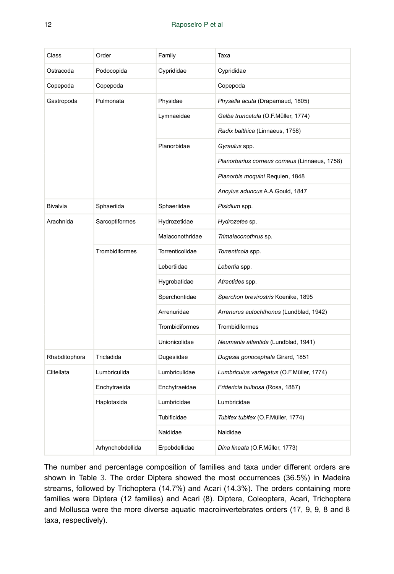| Class           | Order                 | Family          | Taxa                                          |  |
|-----------------|-----------------------|-----------------|-----------------------------------------------|--|
| Ostracoda       | Podocopida            | Cyprididae      | Cyprididae                                    |  |
| Copepoda        | Copepoda              |                 | Copepoda                                      |  |
| Gastropoda      | Pulmonata             | Physidae        | Physella acuta (Draparnaud, 1805)             |  |
|                 |                       | Lymnaeidae      | Galba truncatula (O.F.Müller, 1774)           |  |
|                 |                       |                 | Radix balthica (Linnaeus, 1758)               |  |
|                 |                       | Planorbidae     | Gyraulus spp.                                 |  |
|                 |                       |                 | Planorbarius corneus corneus (Linnaeus, 1758) |  |
|                 |                       |                 | Planorbis moquini Requien, 1848               |  |
|                 |                       |                 | Ancylus aduncus A.A.Gould, 1847               |  |
| <b>Bivalvia</b> | Sphaeriida            | Sphaeriidae     | Pisidium spp.                                 |  |
| Arachnida       | Sarcoptiformes        | Hydrozetidae    | Hydrozetes sp.                                |  |
|                 |                       | Malaconothridae | Trimalaconothrus sp.                          |  |
|                 | <b>Trombidiformes</b> | Torrenticolidae | Torrenticola spp.                             |  |
|                 |                       | Lebertiidae     | Lebertia spp.                                 |  |
|                 |                       | Hygrobatidae    | Atractides spp.                               |  |
|                 |                       | Sperchontidae   | Sperchon brevirostris Koenike, 1895           |  |
|                 |                       | Arrenuridae     | Arrenurus autochthonus (Lundblad, 1942)       |  |
|                 |                       | Trombidiformes  | Trombidiformes                                |  |
|                 |                       | Unionicolidae   | Neumania atlantida (Lundblad, 1941)           |  |
| Rhabditophora   | Tricladida            | Dugesiidae      | Dugesia gonocephala Girard, 1851              |  |
| Clitellata      | Lumbriculida          | Lumbriculidae   | Lumbriculus variegatus (O.F.Müller, 1774)     |  |
|                 | Enchytraeida          | Enchytraeidae   | Fridericia bulbosa (Rosa, 1887)               |  |
|                 | Haplotaxida           | Lumbricidae     | Lumbricidae                                   |  |
|                 |                       | Tubificidae     | Tubifex tubifex (O.F.Müller, 1774)            |  |
|                 |                       | Naididae        | Naididae                                      |  |
|                 | Arhynchobdellida      | Erpobdellidae   | Dina lineata (O.F.Müller, 1773)               |  |

The number and percentage composition of families and taxa under different orders are shown in Table [3.](#page-12-0) The order Diptera showed the most occurrences (36.5%) in Madeira streams, followed by Trichoptera (14.7%) and Acari (14.3%). The orders containing more families were Diptera (12 families) and Acari (8). Diptera, Coleoptera, Acari, Trichoptera and Mollusca were the more diverse aquatic macroinvertebrates orders (17, 9, 9, 8 and 8 taxa, respectively).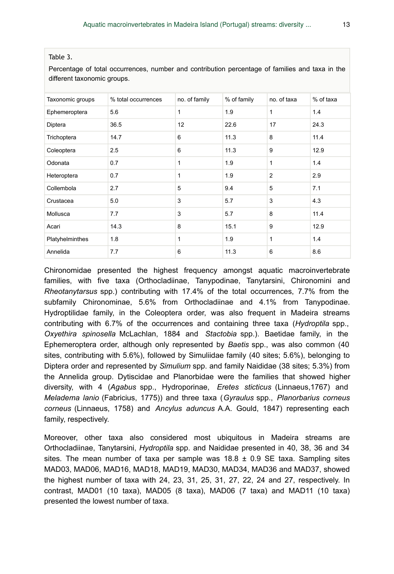<span id="page-12-0"></span>

| Table 3 |
|---------|
|---------|

Percentage of total occurrences, number and contribution percentage of families and taxa in the different taxonomic groups.

| Taxonomic groups | % total occurrences | no. of family | % of family | no. of taxa    | % of taxa |
|------------------|---------------------|---------------|-------------|----------------|-----------|
| Ephemeroptera    | 5.6                 | 1             | 1.9         | $\mathbf{1}$   | 1.4       |
| Diptera          | 36.5                | 12            | 22.6        | 17             | 24.3      |
| Trichoptera      | 14.7                | 6             | 11.3        | 8              | 11.4      |
| Coleoptera       | 2.5                 | 6             | 11.3        | 9              | 12.9      |
| Odonata          | 0.7                 | 1             | 1.9         | $\mathbf{1}$   | 1.4       |
| Heteroptera      | 0.7                 | 1             | 1.9         | $\overline{2}$ | 2.9       |
| Collembola       | 2.7                 | 5             | 9.4         | 5              | 7.1       |
| Crustacea        | 5.0                 | 3             | 5.7         | 3              | 4.3       |
| Mollusca         | 7.7                 | 3             | 5.7         | 8              | 11.4      |
| Acari            | 14.3                | 8             | 15.1        | 9              | 12.9      |
| Platyhelminthes  | 1.8                 | 1             | 1.9         | 1              | 1.4       |
| Annelida         | 7.7                 | 6             | 11.3        | 6              | 8.6       |

Chironomidae presented the highest frequency amongst aquatic macroinvertebrate families, with five taxa (Orthocladiinae, Tanypodinae, Tanytarsini, Chironomini and *Rheotanytarsus* spp.) contributing with 17.4% of the total occurrences, 7.7% from the subfamily Chironominae, 5.6% from Orthocladiinae and 4.1% from Tanypodinae. Hydroptilidae family, in the Coleoptera order, was also frequent in Madeira streams contributing with 6.7% of the occurrences and containing three taxa (*Hydroptila* spp., *Oxyethira spinosella* McLachlan, 1884 and *Stactobia* spp.). Baetidae family, in the Ephemeroptera order, although only represented by *Baetis* spp., was also common (40 sites, contributing with 5.6%), followed by Simuliidae family (40 sites; 5.6%), belonging to Diptera order and represented by *Simulium* spp. and family Naididae (38 sites; 5.3%) from the Annelida group. Dytiscidae and Planorbidae were the families that showed higher diversity, with 4 (*Agabus* spp., Hydroporinae, *Eretes sticticus* (Linnaeus,1767) and *Meladema lanio* (Fabricius, 1775)) and three taxa (*Gyraulus* spp., *Planorbarius corneus corneus* (Linnaeus, 1758) and *Ancylus aduncus* A.A. Gould, 1847) representing each family, respectively.

Moreover, other taxa also considered most ubiquitous in Madeira streams are Orthocladiinae, Tanytarsini, *Hydroptila* spp. and Naididae presented in 40, 38, 36 and 34 sites. The mean number of taxa per sample was  $18.8 \pm 0.9$  SE taxa. Sampling sites MAD03, MAD06, MAD16, MAD18, MAD19, MAD30, MAD34, MAD36 and MAD37, showed the highest number of taxa with 24, 23, 31, 25, 31, 27, 22, 24 and 27, respectively. In contrast, MAD01 (10 taxa), MAD05 (8 taxa), MAD06 (7 taxa) and MAD11 (10 taxa) presented the lowest number of taxa.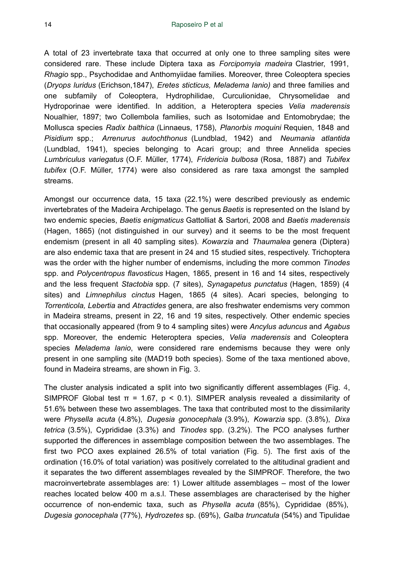A total of 23 invertebrate taxa that occurred at only one to three sampling sites were considered rare. These include Diptera taxa as *Forcipomyia madeira* Clastrier, 1991, *Rhagio* spp., Psychodidae and Anthomyiidae families. Moreover, three Coleoptera species (*Dryops luridus* (Erichson,1847), *Eretes sticticus, Meladema lanio)* and three families and one subfamily of Coleoptera, Hydrophilidae, Curculionidae, Chrysomelidae and Hydroporinae were identified. In addition, a Heteroptera species *Velia maderensis* Noualhier, 1897; two Collembola families, such as Isotomidae and Entomobrydae; the Mollusca species *Radix balthica* (Linnaeus, 1758), *Planorbis moquini* Requien, 1848 and *Pisidium* spp.; *Arrenurus autochthonus* (Lundblad, 1942) and *Neumania atlantida* (Lundblad, 1941), species belonging to Acari group; and three Annelida species *Lumbriculus variegatus* (O.F. Müller, 1774), *Fridericia bulbosa* (Rosa, 1887) and *Tubifex tubifex* (O.F. Müller, 1774) were also considered as rare taxa amongst the sampled streams.

Amongst our occurrence data, 15 taxa (22.1%) were described previously as endemic invertebrates of the Madeira Archipelago. The genus *Baetis* is represented on the Island by two endemic species, *Baetis enigmaticus* Gattolliat & Sartori, 2008 and *Baetis maderensis* (Hagen, 1865) (not distinguished in our survey) and it seems to be the most frequent endemism (present in all 40 sampling sites). *Kowarzia* and *Thaumalea* genera (Diptera) are also endemic taxa that are present in 24 and 15 studied sites, respectively. Trichoptera was the order with the higher number of endemisms, including the more common *Tinodes* spp. and *Polycentropus flavosticus* Hagen, 1865, present in 16 and 14 sites, respectively and the less frequent *Stactobia* spp. (7 sites), *Synagapetus punctatus* (Hagen, 1859) (4 sites) and *Limnephilus cinctus* Hagen, 1865 (4 sites). Acari species, belonging to *Torrenticola, Lebertia* and *Atractides* genera, are also freshwater endemisms very common in Madeira streams, present in 22, 16 and 19 sites, respectively. Other endemic species that occasionally appeared (from 9 to 4 sampling sites) were *Ancylus aduncus* and *Agabus* spp. Moreover, the endemic Heteroptera species, *Velia maderensis* and Coleoptera species *Meladema lanio*, were considered rare endemisms because they were only present in one sampling site (MAD19 both species). Some of the taxa mentioned above, found in Madeira streams, are shown in Fig. [3](#page-14-0).

The cluster analysis indicated a split into two significantly different assemblages (Fig. [4,](#page-15-0) SIMPROF Global test  $\pi$  = 1.67, p < 0.1). SIMPER analysis revealed a dissimilarity of 51.6% between these two assemblages. The taxa that contributed most to the dissimilarity were *Physella acuta* (4.8%), *Dugesia gonocephala* (3.9%), *Kowarzia* spp. (3.8%), *Dixa tetrica* (3.5%), Cyprididae (3.3%) and *Tinodes* spp. (3.2%). The PCO analyses further supported the differences in assemblage composition between the two assemblages. The first two PCO axes explained 26.5% of total variation (Fig. [5\)](#page-16-0). The first axis of the ordination (16.0% of total variation) was positively correlated to the altitudinal gradient and it separates the two different assemblages revealed by the SIMPROF. Therefore, the two macroinvertebrate assemblages are: 1) Lower altitude assemblages – most of the lower reaches located below 400 m a.s.l. These assemblages are characterised by the higher occurrence of non-endemic taxa, such as *Physella acuta* (85%), Cyprididae (85%), *Dugesia gonocephala* (77%), *Hydrozetes* sp. (69%), *Galba truncatula* (54%) and Tipulidae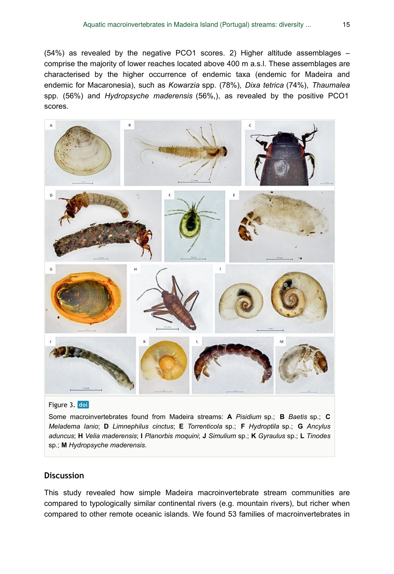(54%) as revealed by the negative PCO1 scores. 2) Higher altitude assemblages – comprise the majority of lower reaches located above 400 m a.s.l. These assemblages are characterised by the higher occurrence of endemic taxa (endemic for Madeira and endemic for Macaronesia), such as *Kowarzia* spp. (78%), *Dixa tetrica* (74%), *Thaumalea* spp. (56%) and *Hydropsyche maderensis* (56%,), as revealed by the positive PCO1 scores.

<span id="page-14-0"></span>

#### Figure 3. doi

Some macroinvertebrates found from Madeira streams: **A** *Pisidium* sp.; **B** *Baetis* sp.; **C** *Meladema lanio*; **D** *Limnephilus cinctus*; **E** *Torrenticola* sp.; **F** *Hydroptila* sp.; **G** *Ancylus aduncus*; **H** *Velia maderensis*; **I** *Planorbis moquini*; **J** *Simulium* sp.; **K** *Gyraulus* sp.; **L** *Tinodes* sp.; **M** *Hydropsyche maderensis*.

#### **Discussion**

This study revealed how simple Madeira macroinvertebrate stream communities are compared to typologically similar continental rivers (e.g. mountain rivers), but richer when compared to other remote oceanic islands. We found 53 families of macroinvertebrates in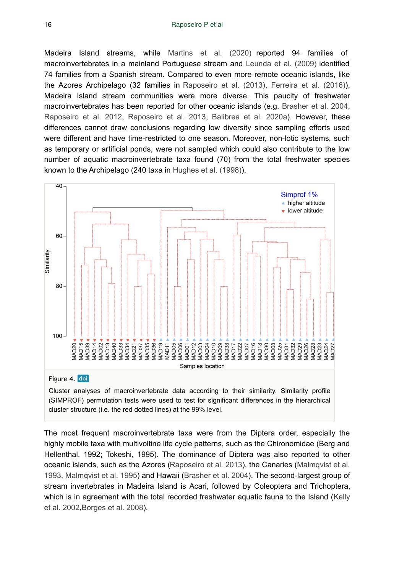16 Raposeiro P et al

Madeira Island streams, while [Martins et al. \(2020\)](#page-21-8) reported 94 families of macroinvertebrates in a mainland Portuguese stream and [Leunda et al. \(2009\)](#page-21-9) identified 74 families from a Spanish stream. Compared to even more remote oceanic islands, like the Azores Archipelago (32 families in [Raposeiro et al. \(2013\),](#page-22-7) [Ferreira et al. \(2016\)\)](#page-19-4), Madeira Island stream communities were more diverse. This paucity of freshwater macroinvertebrates has been reported for other oceanic islands (e.g. [Brasher et al. 2004,](#page-18-5) [Raposeiro et al. 2012,](#page-22-0) [Raposeiro et al. 2013](#page-22-7), [Balibrea et al. 2020a\)](#page-18-6). However, these differences cannot draw conclusions regarding low diversity since sampling efforts used were different and have time-restricted to one season. Moreover, non-lotic systems, such as temporary or artificial ponds, were not sampled which could also contribute to the low number of aquatic macroinvertebrate taxa found (70) from the total freshwater species known to the Archipelago (240 taxa in [Hughes et al. \(1998\)\)](#page-20-4).

<span id="page-15-0"></span>

(SIMPROF) permutation tests were used to test for significant differences in the hierarchical cluster structure (i.e. the red dotted lines) at the 99% level.

The most frequent macroinvertebrate taxa were from the Diptera order, especially the highly mobile taxa with multivoltine life cycle patterns, such as the Chironomidae (Berg and Hellenthal, 1992; Tokeshi, 1995). The dominance of Diptera was also reported to other oceanic islands, such as the Azores [\(Raposeiro et al. 2013](#page-22-7)), the Canaries [\(Malmqvist et al.](#page-21-10) [1993](#page-21-10), [Malmqvist et al. 1995\)](#page-21-11) and Hawaii [\(Brasher et al. 2004\)](#page-18-5). The second-largest group of stream invertebrates in Madeira Island is Acari, followed by Coleoptera and Trichoptera, which is in agreement with the total recorded freshwater aguatic fauna to the Island ([Kelly](#page-20-11) [et al. 2002](#page-20-11),[Borges et al. 2008](#page-18-1)).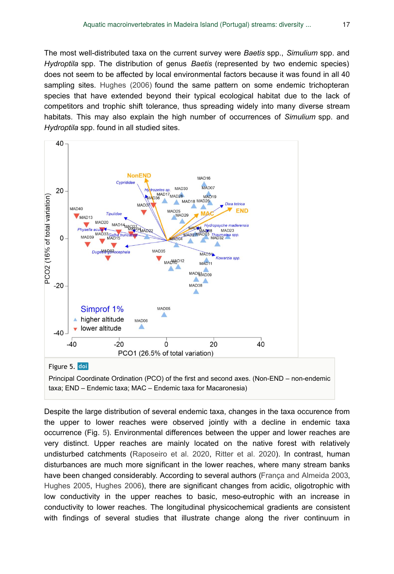The most well-distributed taxa on the current survey were *Baetis* spp., *Simulium* spp. and *Hydroptila* spp. The distribution of genus *Baetis* (represented by two endemic species) does not seem to be affected by local environmental factors because it was found in all 40 sampling sites. [Hughes \(2006\)](#page-20-5) found the same pattern on some endemic trichopteran species that have extended beyond their typical ecological habitat due to the lack of competitors and trophic shift tolerance, thus spreading widely into many diverse stream habitats. This may also explain the high number of occurrences of *Simulium* spp. and *Hydroptila* spp. found in all studied sites.

<span id="page-16-0"></span>

Principal Coordinate Ordination (PCO) of the first and second axes. (Non-END – non-endemic taxa; END – Endemic taxa; MAC – Endemic taxa for Macaronesia)

Despite the large distribution of several endemic taxa, changes in the taxa occurence from the upper to lower reaches were observed jointly with a decline in endemic taxa occurrence (Fig. [5\)](#page-16-0). Environmental differences between the upper and lower reaches are very distinct. Upper reaches are mainly located on the native forest with relatively undisturbed catchments [\(Raposeiro et al. 2020](#page-22-10), [Ritter et al. 2020](#page-22-11)). In contrast, human disturbances are much more significant in the lower reaches, where many stream banks have been changed considerably. According to several authors ([França and Almeida 2003,](#page-19-5) [Hughes 2005](#page-20-0), [Hughes 2006\)](#page-20-5), there are significant changes from acidic, oligotrophic with low conductivity in the upper reaches to basic, meso-eutrophic with an increase in conductivity to lower reaches. The longitudinal physicochemical gradients are consistent with findings of several studies that illustrate change along the river continuum in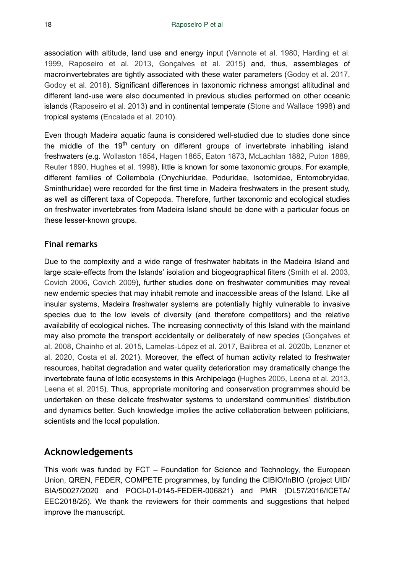association with altitude, land use and energy input ([Vannote et al. 1980,](#page-22-12) [Harding et al.](#page-19-6) [1999](#page-19-6), [Raposeiro et al. 2013,](#page-22-7) [Gonçalves et al. 2015](#page-19-1)) and, thus, assemblages of macroinvertebrates are tightly associated with these water parameters ([Godoy et al. 2017,](#page-19-7) [Godoy et al. 2018\)](#page-19-8). Significant differences in taxonomic richness amongst altitudinal and different land-use were also documented in previous studies performed on other oceanic islands [\(Raposeiro et al. 2013\)](#page-22-7) and in continental temperate ([Stone and Wallace 1998\)](#page-22-13) and tropical systems [\(Encalada et al. 2010\)](#page-19-9).

Even though Madeira aquatic fauna is considered well-studied due to studies done since the middle of the 19<sup>th</sup> century on different groups of invertebrate inhabiting island freshwaters (e.g. [Wollaston 1854](#page-22-14), [Hagen 1865,](#page-19-10) [Eaton 1873](#page-19-11), [McLachlan 1882](#page-21-12), [Puton 1889,](#page-22-15) [Reuter 1890](#page-22-16), [Hughes et al. 1998](#page-20-4)), little is known for some taxonomic groups. For example, different families of Collembola (Onychiuridae, Poduridae, Isotomidae, Entomobryidae, Sminthuridae) were recorded for the first time in Madeira freshwaters in the present study, as well as different taxa of Copepoda. Therefore, further taxonomic and ecological studies on freshwater invertebrates from Madeira Island should be done with a particular focus on these lesser-known groups.

#### **Final remarks**

Due to the complexity and a wide range of freshwater habitats in the Madeira Island and large scale-effects from the Islands' isolation and biogeographical filters [\(Smith et al. 2003,](#page-22-17) [Covich 2006,](#page-19-0) [Covich 2009](#page-19-12)), further studies done on freshwater communities may reveal new endemic species that may inhabit remote and inaccessible areas of the Island. Like all insular systems, Madeira freshwater systems are potentially highly vulnerable to invasive species due to the low levels of diversity (and therefore competitors) and the relative availability of ecological niches. The increasing connectivity of this Island with the mainland may also promote the transport accidentally or deliberately of new species ([Gonçalves et](#page-19-13) [al. 2008,](#page-19-13) [Chainho et al. 2015](#page-18-7), [Lamelas-López et al. 2017,](#page-20-12) [Balibrea et al. 2020b,](#page-18-8) [Lenzner et](#page-21-13) [al. 2020,](#page-21-13) [Costa et al. 2021](#page-18-9)). Moreover, the effect of human activity related to freshwater resources, habitat degradation and water quality deterioration may dramatically change the invertebrate fauna of lotic ecosystems in this Archipelago ([Hughes 2005](#page-20-0), [Leena et al. 2013,](#page-20-13) [Leena et al. 2015](#page-20-14)). Thus, appropriate monitoring and conservation programmes should be undertaken on these delicate freshwater systems to understand communities' distribution and dynamics better. Such knowledge implies the active collaboration between politicians, scientists and the local population.

# **Acknowledgements**

This work was funded by FCT – Foundation for Science and Technology, the European Union, QREN, FEDER, COMPETE programmes, by funding the CIBIO/InBIO (project UID/ BIA/50027/2020 and POCI-01-0145-FEDER-006821) and PMR (DL57/2016/ICETA/ EEC2018/25). We thank the reviewers for their comments and suggestions that helped improve the manuscript.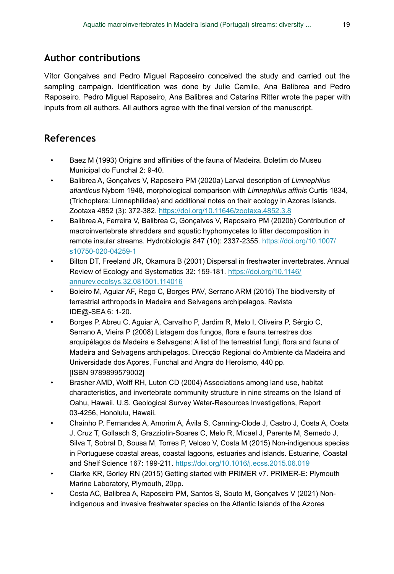# **Author contributions**

Vítor Gonçalves and Pedro Miguel Raposeiro conceived the study and carried out the sampling campaign. Identification was done by Julie Camile, Ana Balibrea and Pedro Raposeiro. Pedro Miguel Raposeiro, Ana Balibrea and Catarina Ritter wrote the paper with inputs from all authors. All authors agree with the final version of the manuscript.

# **References**

- <span id="page-18-3"></span>• Baez M (1993) Origins and affinities of the fauna of Madeira. Boletim do Museu Municipal do Funchal 2: 9‑40.
- <span id="page-18-6"></span>• Balibrea A, Gonçalves V, Raposeiro PM (2020a) Larval description of *Limnephilus atlanticus* Nybom 1948, morphological comparison with *Limnephilus affinis* Curtis 1834, (Trichoptera: Limnephilidae) and additional notes on their ecology in Azores Islands. Zootaxa 4852 (3): 372‑382.<https://doi.org/10.11646/zootaxa.4852.3.8>
- <span id="page-18-8"></span>• Balibrea A, Ferreira V, Balibrea C, Gonçalves V, Raposeiro PM (2020b) Contribution of macroinvertebrate shredders and aquatic hyphomycetes to litter decomposition in remote insular streams. Hydrobiologia 847 (10): 2337‑2355. [https://doi.org/10.1007/](https://doi.org/10.1007/s10750-020-04259-1) [s10750-020-04259-1](https://doi.org/10.1007/s10750-020-04259-1)
- <span id="page-18-0"></span>• Bilton DT, Freeland JR, Okamura B (2001) Dispersal in freshwater invertebrates. Annual Review of Ecology and Systematics 32: 159-181. [https://doi.org/10.1146/](https://doi.org/10.1146/annurev.ecolsys.32.081501.114016) [annurev.ecolsys.32.081501.114016](https://doi.org/10.1146/annurev.ecolsys.32.081501.114016)
- <span id="page-18-2"></span>• Boieiro M, Aguiar AF, Rego C, Borges PAV, Serrano ARM (2015) The biodiversity of terrestrial arthropods in Madeira and Selvagens archipelagos. Revista IDE@-SEA 6: 1‑20.
- <span id="page-18-1"></span>• Borges P, Abreu C, Aguiar A, Carvalho P, Jardim R, Melo I, Oliveira P, Sérgio C, Serrano A, Vieira P (2008) Listagem dos fungos, flora e fauna terrestres dos arquipélagos da Madeira e Selvagens: A list of the terrestrial fungi, flora and fauna of Madeira and Selvagens archipelagos. Direcção Regional do Ambiente da Madeira and Universidade dos Açores, Funchal and Angra do Heroísmo, 440 pp. [ISBN 9789899579002]
- <span id="page-18-5"></span>• Brasher AMD, Wolff RH, Luton CD (2004) Associations among land use, habitat characteristics, and invertebrate community structure in nine streams on the Island of Oahu, Hawaii. U.S. Geological Survey Water-Resources Investigations, Report 03-4256, Honolulu, Hawaii.
- <span id="page-18-7"></span>• Chainho P, Fernandes A, Amorim A, Ávila S, Canning-Clode J, Castro J, Costa A, Costa J, Cruz T, Gollasch S, Grazziotin-Soares C, Melo R, Micael J, Parente M, Semedo J, Silva T, Sobral D, Sousa M, Torres P, Veloso V, Costa M (2015) Non-indigenous species in Portuguese coastal areas, coastal lagoons, estuaries and islands. Estuarine, Coastal and Shelf Science 167: 199‑211.<https://doi.org/10.1016/j.ecss.2015.06.019>
- <span id="page-18-4"></span>• Clarke KR, Gorley RN (2015) Getting started with PRIMER v7. PRIMER-E: Plymouth Marine Laboratory, Plymouth, 20pp.
- <span id="page-18-9"></span>• Costa AC, Balibrea A, Raposeiro PM, Santos S, Souto M, Gonçalves V (2021) Nonindigenous and invasive freshwater species on the Atlantic Islands of the Azores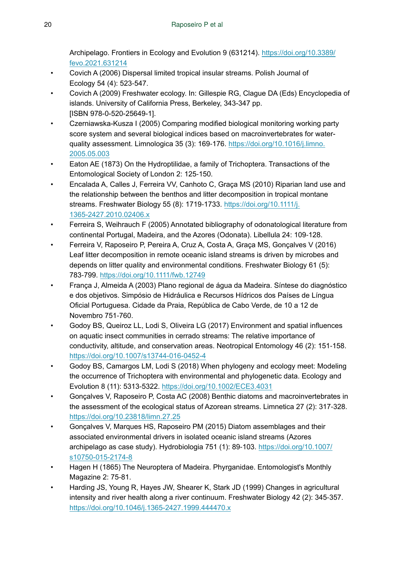Archipelago. Frontiers in Ecology and Evolution 9 (631214). [https://doi.org/10.3389/](https://doi.org/10.3389/fevo.2021.631214) [fevo.2021.631214](https://doi.org/10.3389/fevo.2021.631214)

- <span id="page-19-0"></span>• Covich A (2006) Dispersal limited tropical insular streams. Polish Journal of Ecology 54 (4): 523‑547.
- <span id="page-19-12"></span>• Covich A (2009) Freshwater ecology. In: Gillespie RG, Clague DA (Eds) Encyclopedia of islands. University of California Press, Berkeley, 343-347 pp. [ISBN 978-0-520-25649-1].
- <span id="page-19-3"></span>• Czerniawska-Kusza I (2005) Comparing modified biological monitoring working party score system and several biological indices based on macroinvertebrates for waterquality assessment. Limnologica 35 (3): 169‑176. [https://doi.org/10.1016/j.limno.](https://doi.org/10.1016/j.limno.2005.05.003) [2005.05.003](https://doi.org/10.1016/j.limno.2005.05.003)
- <span id="page-19-11"></span>• Eaton AE (1873) On the Hydroptilidae, a family of Trichoptera. Transactions of the Entomological Society of London 2: 125‑150.
- <span id="page-19-9"></span>• Encalada A, Calles J, Ferreira VV, Canhoto C, Graça MS (2010) Riparian land use and the relationship between the benthos and litter decomposition in tropical montane streams. Freshwater Biology 55 (8): 1719‑1733. [https://doi.org/10.1111/j.](https://doi.org/10.1111/j.1365-2427.2010.02406.x) [1365-2427.2010.02406.x](https://doi.org/10.1111/j.1365-2427.2010.02406.x)
- <span id="page-19-2"></span>• Ferreira S, Weihrauch F (2005) Annotated bibliography of odonatological literature from continental Portugal, Madeira, and the Azores (Odonata). Libellula 24: 109-128.
- <span id="page-19-4"></span>• Ferreira V, Raposeiro P, Pereira A, Cruz A, Costa A, Graça MS, Gonçalves V (2016) Leaf litter decomposition in remote oceanic island streams is driven by microbes and depends on litter quality and environmental conditions. Freshwater Biology 61 (5): 783‑799. <https://doi.org/10.1111/fwb.12749>
- <span id="page-19-5"></span>• França J, Almeida A (2003) Plano regional de água da Madeira. Síntese do diagnóstico e dos objetivos. Simpósio de Hidráulica e Recursos Hídricos dos Países de Língua Oficial Portuguesa. Cidade da Praia, República de Cabo Verde, de 10 a 12 de Novembro 751‑760.
- <span id="page-19-7"></span>• Godoy BS, Queiroz LL, Lodi S, Oliveira LG (2017) Environment and spatial influences on aquatic insect communities in cerrado streams: The relative importance of conductivity, altitude, and conservation areas. Neotropical Entomology 46 (2): 151‑158. <https://doi.org/10.1007/s13744-016-0452-4>
- <span id="page-19-8"></span>• Godoy BS, Camargos LM, Lodi S (2018) When phylogeny and ecology meet: Modeling the occurrence of Trichoptera with environmental and phylogenetic data. Ecology and Evolution 8 (11): 5313‑5322.<https://doi.org/10.1002/ECE3.4031>
- <span id="page-19-13"></span>• Gonçalves V, Raposeiro P, Costa AC (2008) Benthic diatoms and macroinvertebrates in the assessment of the ecological status of Azorean streams. Limnetica 27 (2): 317‑328. <https://doi.org/10.23818/limn.27.25>
- <span id="page-19-1"></span>• Gonçalves V, Marques HS, Raposeiro PM (2015) Diatom assemblages and their associated environmental drivers in isolated oceanic island streams (Azores archipelago as case study). Hydrobiologia 751 (1): 89‑103. [https://doi.org/10.1007/](https://doi.org/10.1007/s10750-015-2174-8) [s10750-015-2174-8](https://doi.org/10.1007/s10750-015-2174-8)
- <span id="page-19-10"></span>• Hagen H (1865) The Neuroptera of Madeira. Phyrganidae. Entomologist's Monthly Magazine 2: 75‑81.
- <span id="page-19-6"></span>• Harding JS, Young R, Hayes JW, Shearer K, Stark JD (1999) Changes in agricultural intensity and river health along a river continuum. Freshwater Biology 42 (2): 345‑357. <https://doi.org/10.1046/j.1365-2427.1999.444470.x>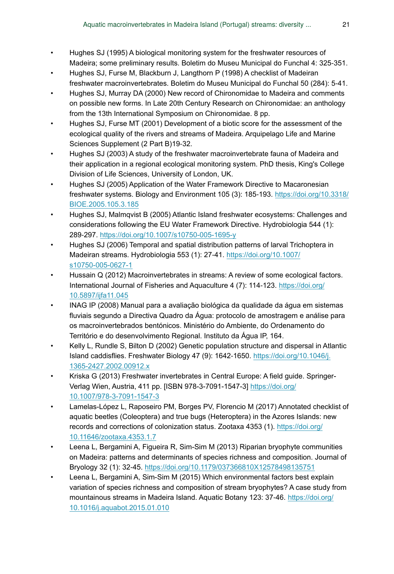- <span id="page-20-1"></span>• Hughes SJ (1995) A biological monitoring system for the freshwater resources of Madeira; some preliminary results. Boletim do Museu Municipal do Funchal 4: 325‑351.
- <span id="page-20-4"></span>• Hughes SJ, Furse M, Blackburn J, Langthorn P (1998) A checklist of Madeiran freshwater macroinvertebrates. Boletim do Museu Municipal do Funchal 50 (284): 5‑41.
- <span id="page-20-2"></span>• Hughes SJ, Murray DA (2000) New record of Chironomidae to Madeira and comments on possible new forms. In Late 20th Century Research on Chironomidae: an anthology from the 13th International Symposium on Chironomidae. 8 pp.
- <span id="page-20-3"></span>• Hughes SJ, Furse MT (2001) Development of a biotic score for the assessment of the ecological quality of the rivers and streams of Madeira. Arquipelago Life and Marine Sciences Supplement (2 Part B)19-32.
- <span id="page-20-6"></span>• Hughes SJ (2003) A study of the freshwater macroinvertebrate fauna of Madeira and their application in a regional ecological monitoring system. PhD thesis, King's College Division of Life Sciences, University of London, UK.
- <span id="page-20-0"></span>• Hughes SJ (2005) Application of the Water Framework Directive to Macaronesian freshwater systems. Biology and Environment 105 (3): 185‑193. [https://doi.org/10.3318/](https://doi.org/10.3318/BIOE.2005.105.3.185) [BIOE.2005.105.3.185](https://doi.org/10.3318/BIOE.2005.105.3.185)
- <span id="page-20-7"></span>• Hughes SJ, Malmqvist B (2005) Atlantic Island freshwater ecosystems: Challenges and considerations following the EU Water Framework Directive. Hydrobiologia 544 (1): 289‑297. <https://doi.org/10.1007/s10750-005-1695-y>
- <span id="page-20-5"></span>• Hughes SJ (2006) Temporal and spatial distribution patterns of larval Trichoptera in Madeiran streams. Hydrobiologia 553 (1): 27‑41. [https://doi.org/10.1007/](https://doi.org/10.1007/s10750-005-0627-1) [s10750-005-0627-1](https://doi.org/10.1007/s10750-005-0627-1)
- <span id="page-20-8"></span>• Hussain Q (2012) Macroinvertebrates in streams: A review of some ecological factors. International Journal of Fisheries and Aquaculture 4 (7): 114-123. [https://doi.org/](https://doi.org/10.5897/ijfa11.045) [10.5897/ijfa11.045](https://doi.org/10.5897/ijfa11.045)
- <span id="page-20-9"></span>• INAG IP (2008) Manual para a avaliação biológica da qualidade da água em sistemas fluviais segundo a Directiva Quadro da Água: protocolo de amostragem e análise para os macroinvertebrados bentónicos. Ministério do Ambiente, do Ordenamento do Território e do desenvolvimento Regional. Instituto da Água IP, 164.
- <span id="page-20-11"></span>• Kelly L, Rundle S, Bilton D (2002) Genetic population structure and dispersal in Atlantic Island caddisflies. Freshwater Biology 47 (9): 1642-1650. [https://doi.org/10.1046/j.](https://doi.org/10.1046/j.1365-2427.2002.00912.x) [1365-2427.2002.00912.x](https://doi.org/10.1046/j.1365-2427.2002.00912.x)
- <span id="page-20-10"></span>• Kriska G (2013) Freshwater invertebrates in Central Europe: A field guide. Springer-Verlag Wien, Austria, 411 pp. [ISBN 978-3-7091-1547-3] [https://doi.org/](https://doi.org/10.1007/978-3-7091-1547-3) [10.1007/978-3-7091-1547-3](https://doi.org/10.1007/978-3-7091-1547-3)
- <span id="page-20-12"></span>• Lamelas-López L, Raposeiro PM, Borges PV, Florencio M (2017) Annotated checklist of aquatic beetles (Coleoptera) and true bugs (Heteroptera) in the Azores Islands: new records and corrections of colonization status. Zootaxa 4353 (1). [https://doi.org/](https://doi.org/10.11646/zootaxa.4353.1.7) [10.11646/zootaxa.4353.1.7](https://doi.org/10.11646/zootaxa.4353.1.7)
- <span id="page-20-13"></span>• Leena L, Bergamini A, Figueira R, Sim-Sim M (2013) Riparian bryophyte communities on Madeira: patterns and determinants of species richness and composition. Journal of Bryology 32 (1): 32‑45. <https://doi.org/10.1179/037366810X12578498135751>
- <span id="page-20-14"></span>• Leena L, Bergamini A, Sim-Sim M (2015) Which environmental factors best explain variation of species richness and composition of stream bryophytes? A case study from mountainous streams in Madeira Island. Aquatic Botany 123: 37‑46. [https://doi.org/](https://doi.org/10.1016/j.aquabot.2015.01.010) [10.1016/j.aquabot.2015.01.010](https://doi.org/10.1016/j.aquabot.2015.01.010)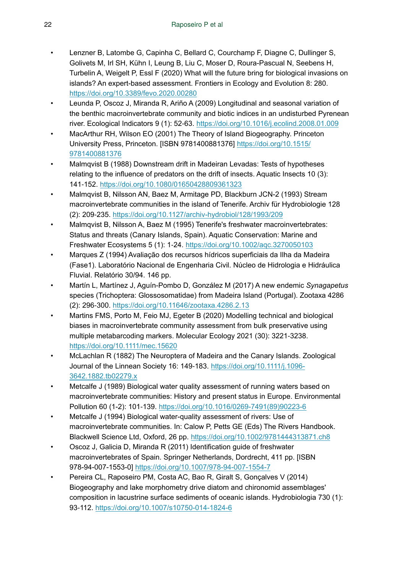- <span id="page-21-13"></span>• Lenzner B, Latombe G, Capinha C, Bellard C, Courchamp F, Diagne C, Dullinger S, Golivets M, Irl SH, Kühn I, Leung B, Liu C, Moser D, Roura-Pascual N, Seebens H, Turbelin A, Weigelt P, Essl F (2020) What will the future bring for biological invasions on islands? An expert-based assessment. Frontiers in Ecology and Evolution 8: 280. <https://doi.org/10.3389/fevo.2020.00280>
- <span id="page-21-9"></span>• Leunda P, Oscoz J, Miranda R, Ariño A (2009) Longitudinal and seasonal variation of the benthic macroinvertebrate community and biotic indices in an undisturbed Pyrenean river. Ecological Indicators 9 (1): 52‑63. <https://doi.org/10.1016/j.ecolind.2008.01.009>
- <span id="page-21-1"></span>• MacArthur RH, Wilson EO (2001) The Theory of Island Biogeography. Princeton University Press, Princeton. [ISBN 9781400881376] [https://doi.org/10.1515/](https://doi.org/10.1515/9781400881376) [9781400881376](https://doi.org/10.1515/9781400881376)
- <span id="page-21-2"></span>• Malmqvist B (1988) Downstream drift in Madeiran Levadas: Tests of hypotheses relating to the influence of predators on the drift of insects. Aquatic Insects 10 (3): 141‑152. <https://doi.org/10.1080/01650428809361323>
- <span id="page-21-10"></span>• Malmqvist B, Nilsson AN, Baez M, Armitage PD, Blackburn JCN-2 (1993) Stream macroinvertebrate communities in the island of Tenerife. Archiv für Hydrobiologie 128 (2): 209‑235. <https://doi.org/10.1127/archiv-hydrobiol/128/1993/209>
- <span id="page-21-11"></span>• Malmqvist B, Nilsson A, Baez M (1995) Tenerife's freshwater macroinvertebrates: Status and threats (Canary Islands, Spain). Aquatic Conservation: Marine and Freshwater Ecosystems 5 (1): 1‑24.<https://doi.org/10.1002/aqc.3270050103>
- <span id="page-21-6"></span>• Marques Z (1994) Avaliação dos recursos hídricos superficiais da Ilha da Madeira (Fase1). Laboratório Nacional de Engenharia Civil. Núcleo de Hidrologia e Hidráulica Fluvial. Relatório 30/94. 146 pp.
- <span id="page-21-3"></span>• Martín L, Martínez J, Aguín-Pombo D, González M (2017) A new endemic *Synagapetus* species (Trichoptera: Glossosomatidae) from Madeira Island (Portugal). Zootaxa 4286 (2): 296‑300. <https://doi.org/10.11646/zootaxa.4286.2.13>
- <span id="page-21-8"></span>• Martins FMS, Porto M, Feio MJ, Egeter B (2020) Modelling technical and biological biases in macroinvertebrate community assessment from bulk preservative using multiple metabarcoding markers. Molecular Ecology 2021 (30): 3221‑3238. <https://doi.org/10.1111/mec.15620>
- <span id="page-21-12"></span>• McLachlan R (1882) The Neuroptera of Madeira and the Canary Islands. Zoological Journal of the Linnean Society 16: 149-183. [https://doi.org/10.1111/j.1096-](https://doi.org/10.1111/j.1096-3642.1882.tb02279.x) [3642.1882.tb02279.x](https://doi.org/10.1111/j.1096-3642.1882.tb02279.x)
- <span id="page-21-4"></span>• Metcalfe J (1989) Biological water quality assessment of running waters based on macroinvertebrate communities: History and present status in Europe. Environmental Pollution 60 (1-2): 101‑139. [https://doi.org/10.1016/0269-7491\(89\)90223-6](https://doi.org/10.1016/0269-7491(89)90223-6)
- <span id="page-21-5"></span>• Metcalfe J (1994) Biological water-quality assessment of rivers: Use of macroinvertebrate communities. In: Calow P, Petts GE (Eds) The Rivers Handbook. Blackwell Science Ltd, Oxford, 26 pp.<https://doi.org/10.1002/9781444313871.ch8>
- <span id="page-21-7"></span>• Oscoz J, Galicia D, Miranda R (2011) Identification guide of freshwater macroinvertebrates of Spain. Springer Netherlands, Dordrecht, 411 pp. [ISBN 978-94-007-1553-0]<https://doi.org/10.1007/978-94-007-1554-7>
- <span id="page-21-0"></span>• Pereira CL, Raposeiro PM, Costa AC, Bao R, Giralt S, Gonçalves V (2014) Biogeography and lake morphometry drive diatom and chironomid assemblages' composition in lacustrine surface sediments of oceanic islands. Hydrobiologia 730 (1): 93‑112.<https://doi.org/10.1007/s10750-014-1824-6>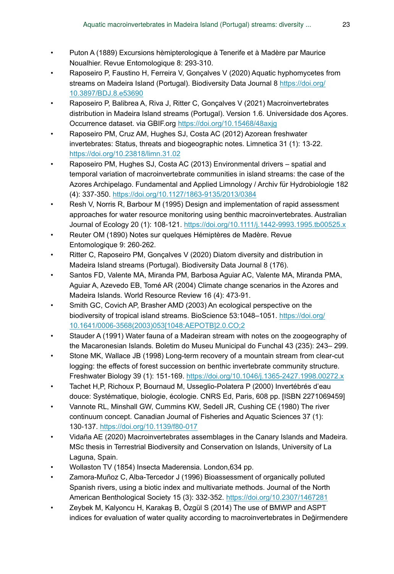- <span id="page-22-15"></span>• Puton A (1889) Excursions hèmipterologique à Tenerife et à Madère par Maurice Noualhier. Revue Entomologique 8: 293‑310.
- <span id="page-22-10"></span>• Raposeiro P, Faustino H, Ferreira V, Gonçalves V (2020) Aquatic hyphomycetes from streams on Madeira Island (Portugal). Biodiversity Data Journal 8 [https://doi.org/](https://doi.org/10.3897/BDJ.8.e53690) [10.3897/BDJ.8.e53690](https://doi.org/10.3897/BDJ.8.e53690)
- <span id="page-22-9"></span>• Raposeiro P, Balibrea A, Riva J, Ritter C, Gonçalves V (2021) Macroinvertebrates distribution in Madeira Island streams (Portugal). Version 1.6. Universidade dos Açores. Occurrence dataset. via GBIF.org<https://doi.org/10.15468/48axjg>
- <span id="page-22-0"></span>• Raposeiro PM, Cruz AM, Hughes SJ, Costa AC (2012) Azorean freshwater invertebrates: Status, threats and biogeographic notes. Limnetica 31 (1): 13‑22. <https://doi.org/10.23818/limn.31.02>
- <span id="page-22-7"></span>• Raposeiro PM, Hughes SJ, Costa AC (2013) Environmental drivers – spatial and temporal variation of macroinvertebrate communities in island streams: the case of the Azores Archipelago. Fundamental and Applied Limnology / Archiv für Hydrobiologie 182 (4): 337‑350. <https://doi.org/10.1127/1863-9135/2013/0384>
- <span id="page-22-3"></span>• Resh V, Norris R, Barbour M (1995) Design and implementation of rapid assessment approaches for water resource monitoring using benthic macroinvertebrates. Australian Journal of Ecology 20 (1): 108‑121.<https://doi.org/10.1111/j.1442-9993.1995.tb00525.x>
- <span id="page-22-16"></span>• Reuter OM (1890) Notes sur quelques Hémiptères de Madère. Revue Entomologique 9: 260‑262.
- <span id="page-22-11"></span>• Ritter C, Raposeiro PM, Gonçalves V (2020) Diatom diversity and distribution in Madeira Island streams (Portugal). Biodiversity Data Journal 8 (176).
- <span id="page-22-6"></span>• Santos FD, Valente MA, Miranda PM, Barbosa Aguiar AC, Valente MA, Miranda PMA, Aguiar A, Azevedo EB, Tomé AR (2004) Climate change scenarios in the Azores and Madeira Islands. World Resource Review 16 (4): 473‑91.
- <span id="page-22-17"></span>• Smith GC, Covich AP, Brasher AMD (2003) An ecological perspective on the biodiversity of tropical island streams. BioScience 53:1048–1051. [https://doi.org/](https://doi.org/10.1641/0006-3568(2003)053%5B1048:AEPOTB%5D2.0.CO;2) [10.1641/0006-3568\(2003\)053\[1048:AEPOTB\]2.0.CO;2](https://doi.org/10.1641/0006-3568(2003)053%5B1048:AEPOTB%5D2.0.CO;2)
- <span id="page-22-1"></span>• Stauder A (1991) Water fauna of a Madeiran stream with notes on the zoogeography of the Macaronesian Islands. Boletim do Museu Municipal do Funchal 43 (235): 243– 299.
- <span id="page-22-13"></span>• Stone MK, Wallace JB (1998) Long-term recovery of a mountain stream from clear-cut logging: the effects of forest succession on benthic invertebrate community structure. Freshwater Biology 39 (1): 151‑169.<https://doi.org/10.1046/j.1365-2427.1998.00272.x>
- <span id="page-22-8"></span>• Tachet H,P, Richoux P, Bournaud M, Usseglio-Polatera P (2000) Invertébrés d'eau douce: Systématique, biologie, écologie. CNRS Ed, Paris, 608 pp. [ISBN 2271069459]
- <span id="page-22-12"></span>• Vannote RL, Minshall GW, Cummins KW, Sedell JR, Cushing CE (1980) The river continuum concept. Canadian Journal of Fisheries and Aquatic Sciences 37 (1): 130‑137. <https://doi.org/10.1139/f80-017>
- <span id="page-22-2"></span>• Vidaña AE (2020) Macroinvertebrates assemblages in the Canary Islands and Madeira. MSc thesis in Terrestrial Biodiversity and Conservation on Islands, University of La Laguna, Spain.
- <span id="page-22-14"></span>• Wollaston TV (1854) Insecta Maderensia. London,634 pp.
- <span id="page-22-4"></span>• Zamora-Muñoz C, Alba-Tercedor J (1996) Bioassessment of organically polluted Spanish rivers, using a biotic index and multivariate methods. Journal of the North American Benthological Society 15 (3): 332‑352.<https://doi.org/10.2307/1467281>
- <span id="page-22-5"></span>• Zeybek M, Kalyoncu H, Karakaş B, Özgül S (2014) The use of BMWP and ASPT indices for evaluation of water quality according to macroinvertebrates in Değirmendere